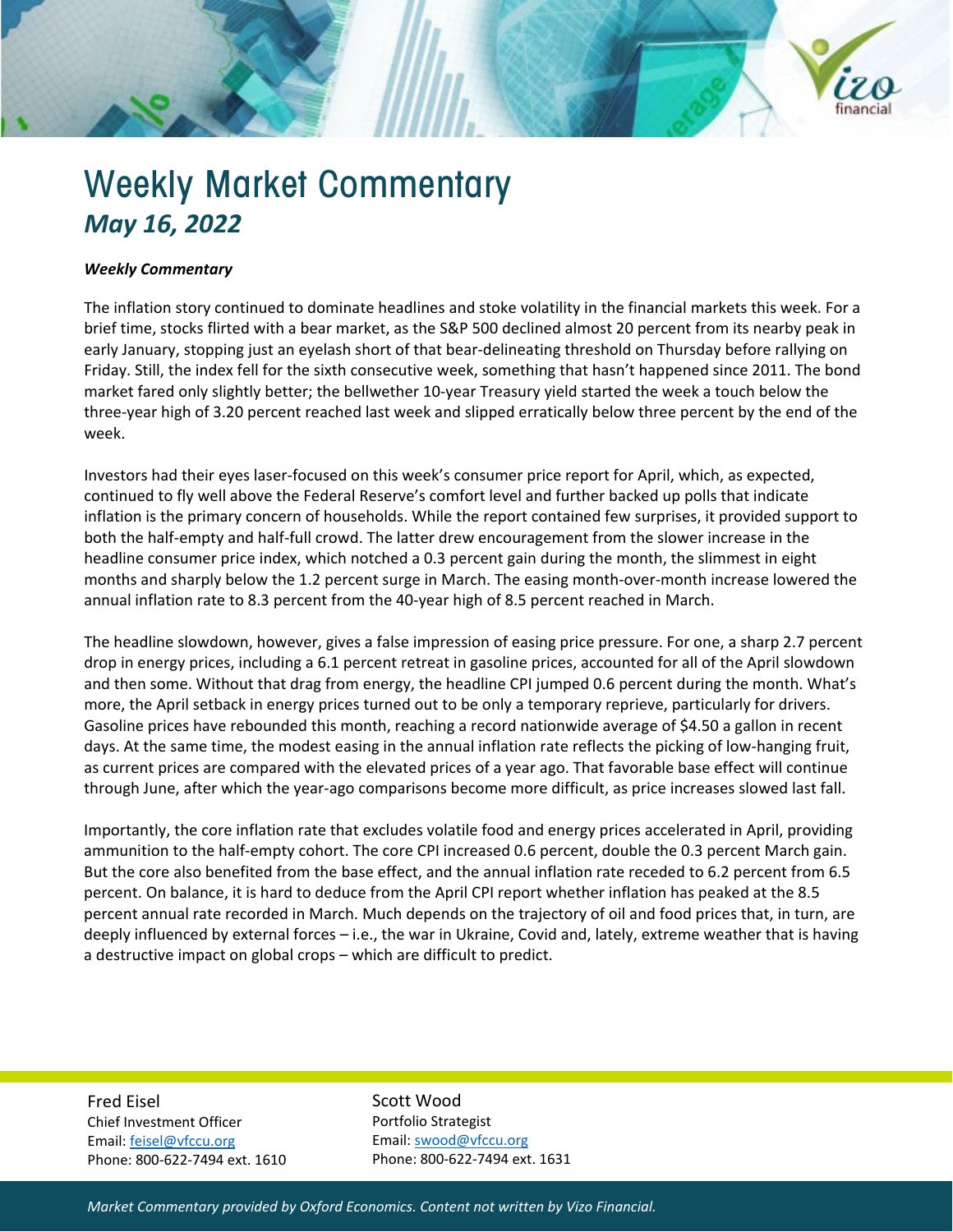

## *Weekly Commentary*

The inflation story continued to dominate headlines and stoke volatility in the financial markets this week. For a brief time, stocks flirted with a bear market, as the S&P 500 declined almost 20 percent from its nearby peak in early January, stopping just an eyelash short of that bear-delineating threshold on Thursday before rallying on Friday. Still, the index fell for the sixth consecutive week, something that hasn't happened since 2011. The bond market fared only slightly better; the bellwether 10-year Treasury yield started the week a touch below the three-year high of 3.20 percent reached last week and slipped erratically below three percent by the end of the week.

Investors had their eyes laser-focused on this week's consumer price report for April, which, as expected, continued to fly well above the Federal Reserve's comfort level and further backed up polls that indicate inflation is the primary concern of households. While the report contained few surprises, it provided support to both the half-empty and half-full crowd. The latter drew encouragement from the slower increase in the headline consumer price index, which notched a 0.3 percent gain during the month, the slimmest in eight months and sharply below the 1.2 percent surge in March. The easing month-over-month increase lowered the annual inflation rate to 8.3 percent from the 40-year high of 8.5 percent reached in March.

The headline slowdown, however, gives a false impression of easing price pressure. For one, a sharp 2.7 percent drop in energy prices, including a 6.1 percent retreat in gasoline prices, accounted for all of the April slowdown and then some. Without that drag from energy, the headline CPI jumped 0.6 percent during the month. What's more, the April setback in energy prices turned out to be only a temporary reprieve, particularly for drivers. Gasoline prices have rebounded this month, reaching a record nationwide average of \$4.50 a gallon in recent days. At the same time, the modest easing in the annual inflation rate reflects the picking of low-hanging fruit, as current prices are compared with the elevated prices of a year ago. That favorable base effect will continue through June, after which the year-ago comparisons become more difficult, as price increases slowed last fall.

Importantly, the core inflation rate that excludes volatile food and energy prices accelerated in April, providing ammunition to the half-empty cohort. The core CPI increased 0.6 percent, double the 0.3 percent March gain. But the core also benefited from the base effect, and the annual inflation rate receded to 6.2 percent from 6.5 percent. On balance, it is hard to deduce from the April CPI report whether inflation has peaked at the 8.5 percent annual rate recorded in March. Much depends on the trajectory of oil and food prices that, in turn, are deeply influenced by external forces – i.e., the war in Ukraine, Covid and, lately, extreme weather that is having a destructive impact on global crops – which are difficult to predict.

Fred Eisel Chief Investment Officer Email[: feisel@vfccu.org](mailto:feisel@vfccu.org) Phone: 800-622-7494 ext. 1610 Scott Wood Portfolio Strategist Email[: swood@vfccu.org](mailto:swood@vfccu.org) Phone: 800-622-7494 ext. 1631

*Market Commentary provided by Oxford Economics. Content not written by Vizo Financial.*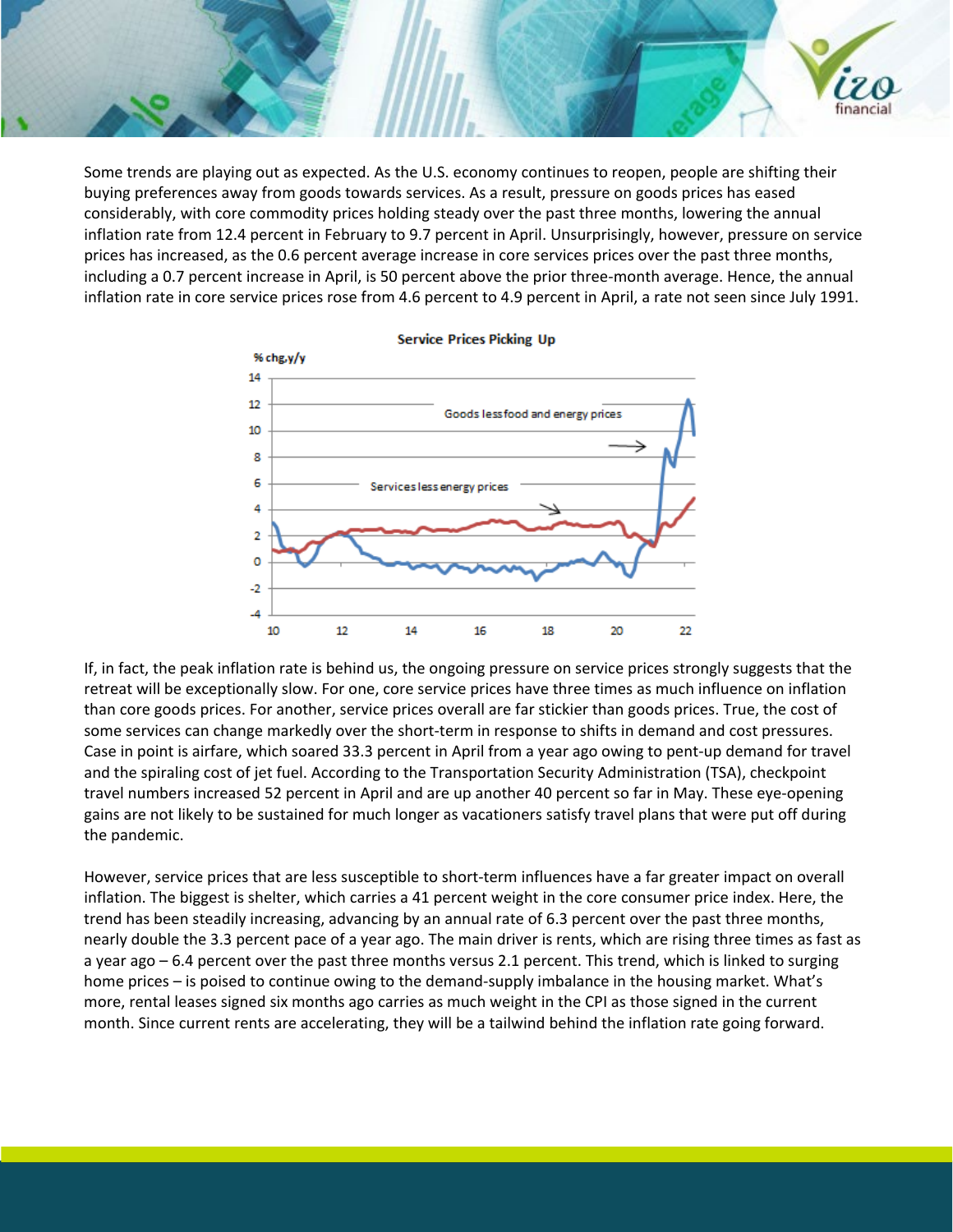Some trends are playing out as expected. As the U.S. economy continues to reopen, people are shifting their buying preferences away from goods towards services. As a result, pressure on goods prices has eased considerably, with core commodity prices holding steady over the past three months, lowering the annual inflation rate from 12.4 percent in February to 9.7 percent in April. Unsurprisingly, however, pressure on service prices has increased, as the 0.6 percent average increase in core services prices over the past three months, including a 0.7 percent increase in April, is 50 percent above the prior three-month average. Hence, the annual inflation rate in core service prices rose from 4.6 percent to 4.9 percent in April, a rate not seen since July 1991.

financia



If, in fact, the peak inflation rate is behind us, the ongoing pressure on service prices strongly suggests that the retreat will be exceptionally slow. For one, core service prices have three times as much influence on inflation than core goods prices. For another, service prices overall are far stickier than goods prices. True, the cost of some services can change markedly over the short-term in response to shifts in demand and cost pressures. Case in point is airfare, which soared 33.3 percent in April from a year ago owing to pent-up demand for travel and the spiraling cost of jet fuel. According to the Transportation Security Administration (TSA), checkpoint travel numbers increased 52 percent in April and are up another 40 percent so far in May. These eye-opening gains are not likely to be sustained for much longer as vacationers satisfy travel plans that were put off during the pandemic.

However, service prices that are less susceptible to short-term influences have a far greater impact on overall inflation. The biggest is shelter, which carries a 41 percent weight in the core consumer price index. Here, the trend has been steadily increasing, advancing by an annual rate of 6.3 percent over the past three months, nearly double the 3.3 percent pace of a year ago. The main driver is rents, which are rising three times as fast as a year ago – 6.4 percent over the past three months versus 2.1 percent. This trend, which is linked to surging home prices – is poised to continue owing to the demand-supply imbalance in the housing market. What's more, rental leases signed six months ago carries as much weight in the CPI as those signed in the current month. Since current rents are accelerating, they will be a tailwind behind the inflation rate going forward.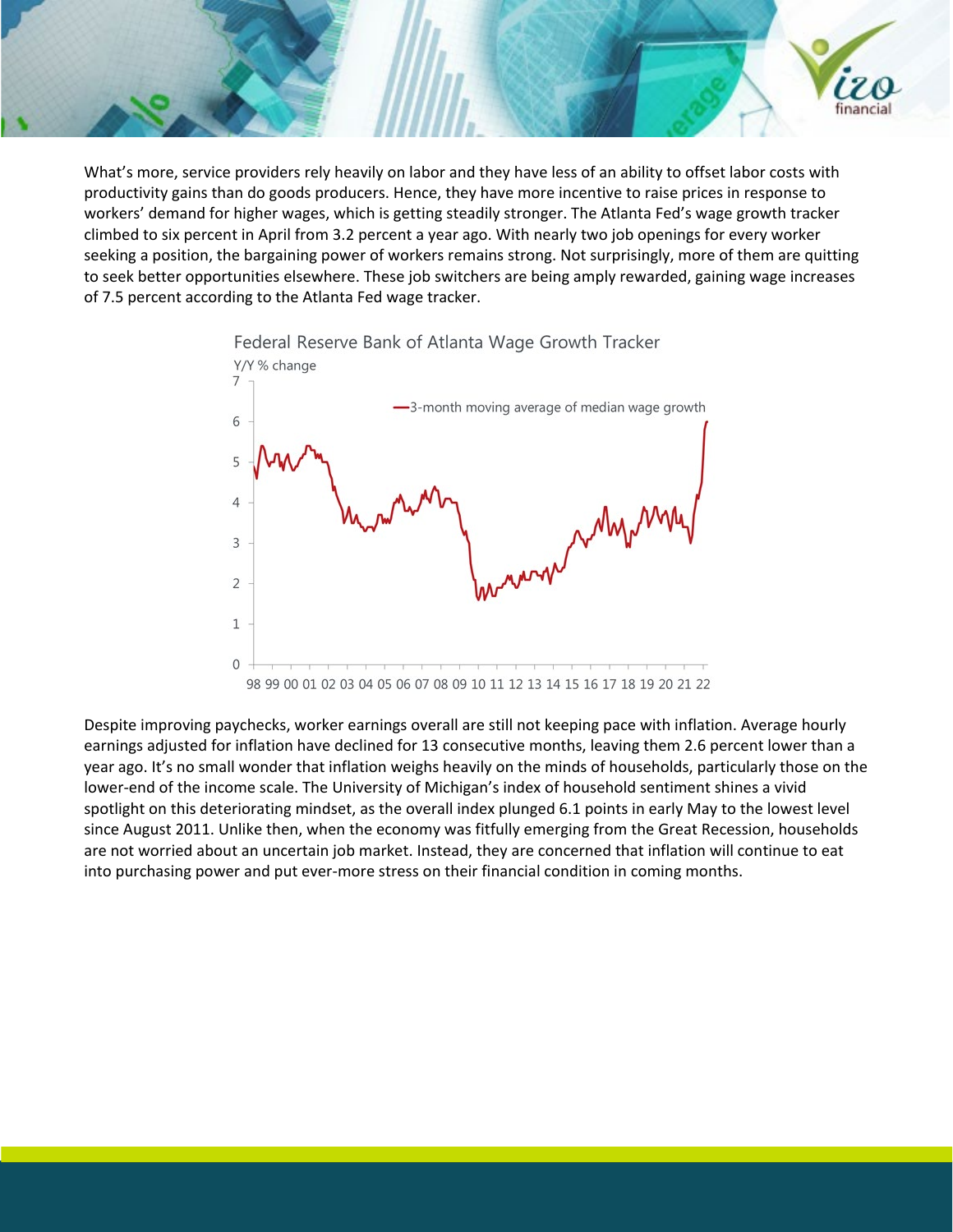What's more, service providers rely heavily on labor and they have less of an ability to offset labor costs with productivity gains than do goods producers. Hence, they have more incentive to raise prices in response to workers' demand for higher wages, which is getting steadily stronger. The Atlanta Fed's wage growth tracker climbed to six percent in April from 3.2 percent a year ago. With nearly two job openings for every worker seeking a position, the bargaining power of workers remains strong. Not surprisingly, more of them are quitting to seek better opportunities elsewhere. These job switchers are being amply rewarded, gaining wage increases of 7.5 percent according to the Atlanta Fed wage tracker.

financia



Despite improving paychecks, worker earnings overall are still not keeping pace with inflation. Average hourly earnings adjusted for inflation have declined for 13 consecutive months, leaving them 2.6 percent lower than a year ago. It's no small wonder that inflation weighs heavily on the minds of households, particularly those on the lower-end of the income scale. The University of Michigan's index of household sentiment shines a vivid spotlight on this deteriorating mindset, as the overall index plunged 6.1 points in early May to the lowest level since August 2011. Unlike then, when the economy was fitfully emerging from the Great Recession, households are not worried about an uncertain job market. Instead, they are concerned that inflation will continue to eat into purchasing power and put ever-more stress on their financial condition in coming months.